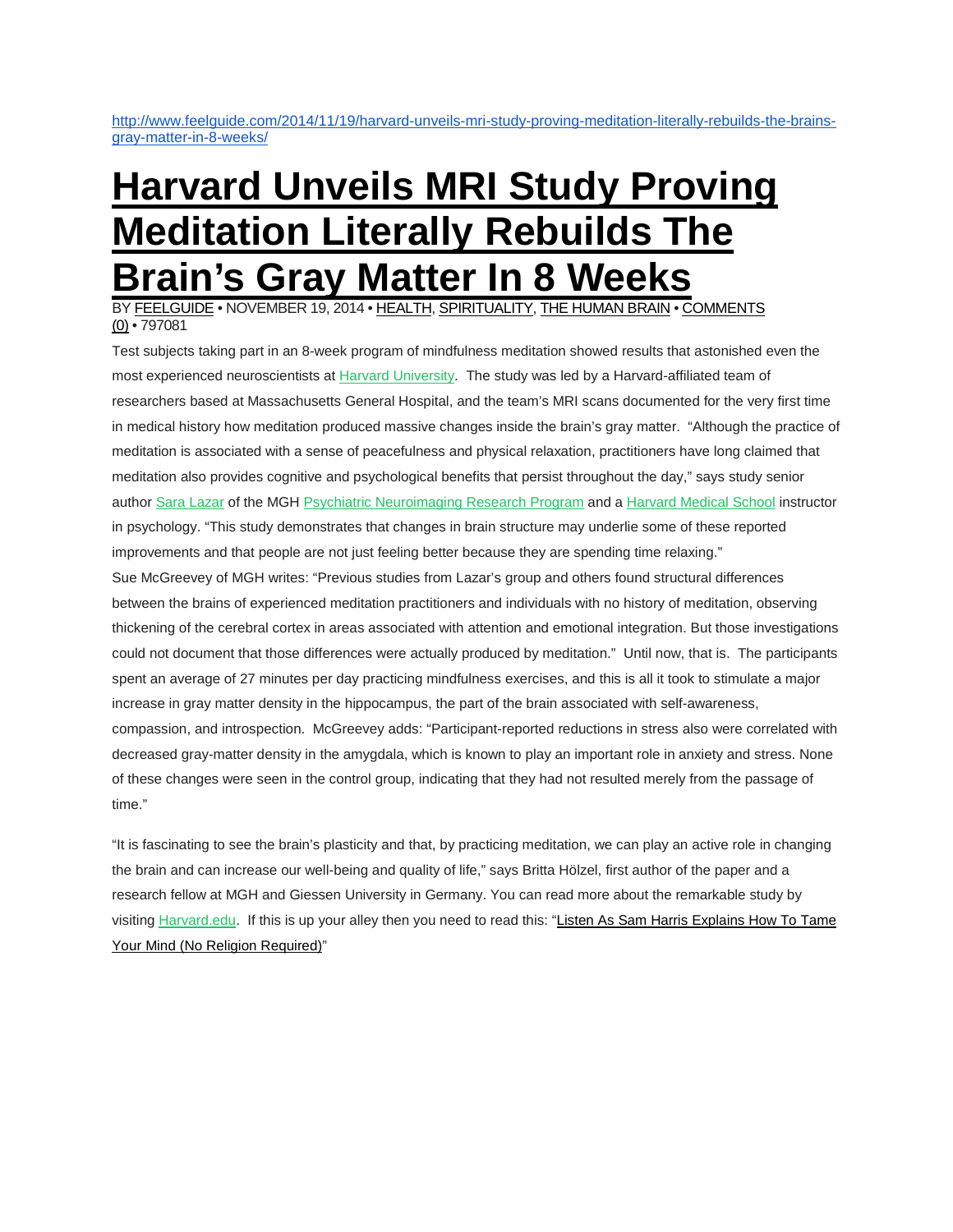[http://www.feelguide.com/2014/11/19/harvard-unveils-mri-study-proving-meditation-literally-rebuilds-the-brains](http://www.feelguide.com/2014/11/19/harvard-unveils-mri-study-proving-meditation-literally-rebuilds-the-brains-gray-matter-in-8-weeks/)[gray-matter-in-8-weeks/](http://www.feelguide.com/2014/11/19/harvard-unveils-mri-study-proving-meditation-literally-rebuilds-the-brains-gray-matter-in-8-weeks/)

## **[Harvard](http://www.feelguide.com/2014/11/19/harvard-unveils-mri-study-proving-meditation-literally-rebuilds-the-brains-gray-matter-in-8-weeks/) Unveils MRI Study Proving [Meditation](http://www.feelguide.com/2014/11/19/harvard-unveils-mri-study-proving-meditation-literally-rebuilds-the-brains-gray-matter-in-8-weeks/) Literally Rebuilds The [Brain's](http://www.feelguide.com/2014/11/19/harvard-unveils-mri-study-proving-meditation-literally-rebuilds-the-brains-gray-matter-in-8-weeks/) Gray Matter In 8 Weeks**

BY [FEELGUIDE](http://www.feelguide.com/author/feelguide/) • NOVEMBER 19, 2014 • [HEALTH,](http://www.feelguide.com/category/health/) [SPIRITUALITY,](http://www.feelguide.com/category/spirituality/) THE [HUMAN](http://www.feelguide.com/category/the-human-brain/) BRAIN • [COMMENTS](http://www.feelguide.com/2014/11/19/harvard-unveils-mri-study-proving-meditation-literally-rebuilds-the-brains-gray-matter-in-8-weeks/%23respond) [\(0\)](http://www.feelguide.com/2014/11/19/harvard-unveils-mri-study-proving-meditation-literally-rebuilds-the-brains-gray-matter-in-8-weeks/%23respond) • 797081

Test subjects taking part in an 8-week program of mindfulness meditation showed results that astonished even the most experienced neuroscientists at **Harvard University**. The study was led by a Harvard-affiliated team of researchers based at Massachusetts General Hospital, and the team's MRI scans documented for the very first time in medical history how meditation produced massive changes inside the brain's gray matter. "Although the practice of meditation is associated with a sense of peacefulness and physical relaxation, practitioners have long claimed that meditation also provides cognitive and psychological benefits that persist throughout the day," says study senior author Sara [Lazar](http://connects.catalyst.harvard.edu/profiles/profile/person/12961) of the MGH Psychiatric [Neuroimaging](http://www2.massgeneral.org/allpsych/psychneuro/psychneuroimaging.asp) Research Program and a [Harvard](http://hms.harvard.edu/hms/home.asp) Medical School instructor in psychology. "This study demonstrates that changes in brain structure may underlie some of these reported improvements and that people are not just feeling better because they are spending time relaxing." Sue McGreevey of MGH writes: "Previous studies from Lazar's group and others found structural differences between the brains of experienced meditation practitioners and individuals with no history of meditation, observing thickening of the cerebral cortex in areas associated with attention and emotional integration. But those investigations could not document that those differences were actually produced by meditation." Until now, that is. The participants spent an average of 27 minutes per day practicing mindfulness exercises, and this is all it took to stimulate a major increase in gray matter density in the hippocampus, the part of the brain associated with self-awareness, compassion, and introspection. McGreevey adds: "Participant-reported reductions in stress also were correlated with decreased gray-matter density in the amygdala, which is known to play an important role in anxiety and stress. None of these changes were seen in the control group, indicating that they had not resulted merely from the passage of time."

"It is fascinating to see the brain's plasticity and that, by practicing meditation, we can play an active role in changing the brain and can increase our well-being and quality of life," says Britta Hölzel, first author of the paper and a research fellow at MGH and Giessen University in Germany. You can read more about the remarkable study by visiting [Harvard.edu.](http://news.harvard.edu/gazette/story/2011/01/eight-weeks-to-a-better-brain/) If this is up your alley then you need to read this: "Listen As Sam Harris [Explains](http://www.feelguide.com/2014/11/03/listen-as-sam-harris-explains-how-to-tame-your-mind-no-religion-required/) How To Tame Your Mind (No Religion [Required\)"](http://www.feelguide.com/2014/11/03/listen-as-sam-harris-explains-how-to-tame-your-mind-no-religion-required/)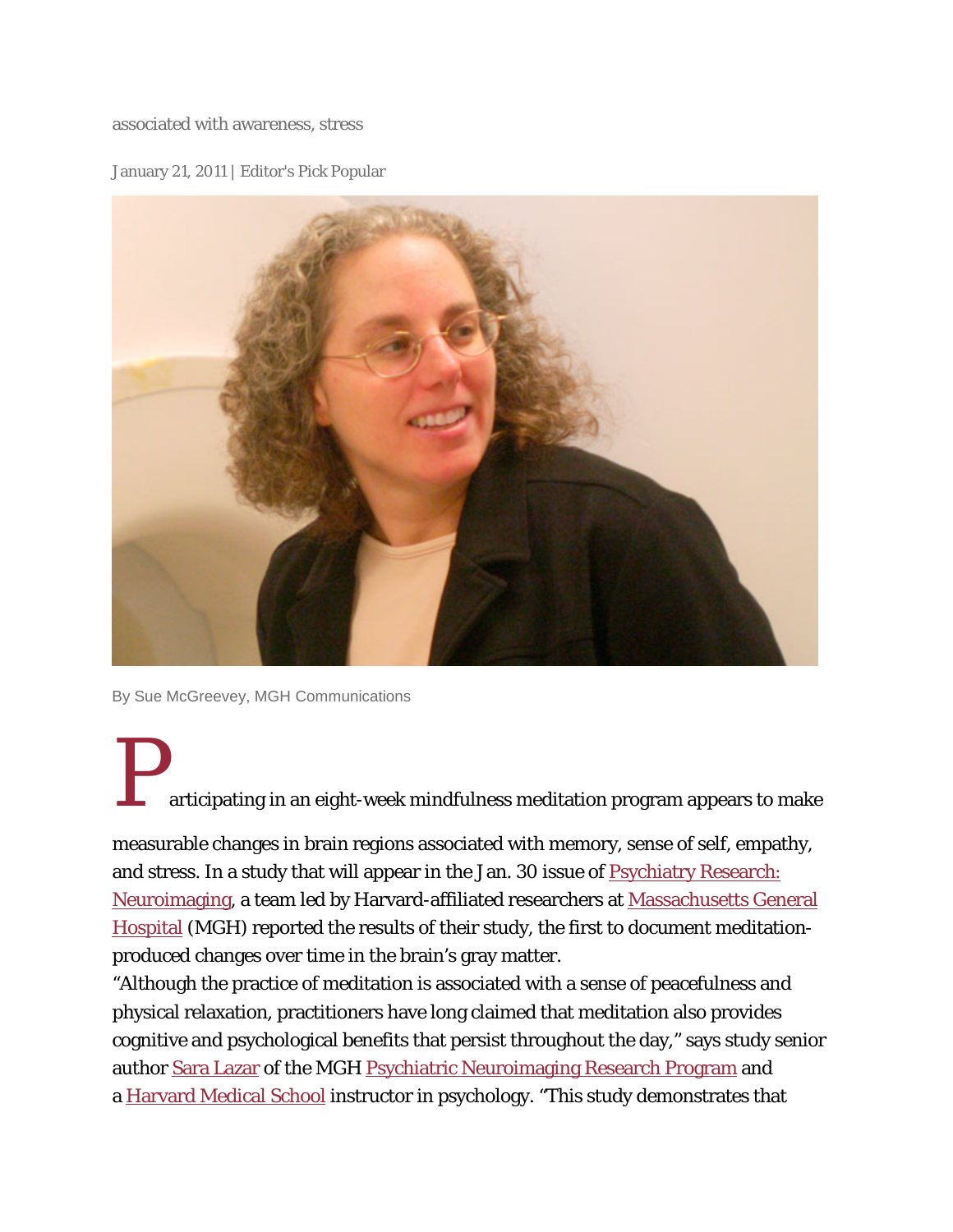associated with awareness, stress

January 21, 2011 | Editor's Pick Popular



By Sue McGreevey, MGH Communications

articipating in an eight-week mindfulness meditation program appears to make

measurable changes in brain regions associated with memory, sense of self, empathy, and stress. In a study that will appear in the Jan. 30 issue of [Psychiatry Research:](http://www.elsevier.com/wps/find/journaldescription.cws_home/522789/description%23description)  [Neuroimaging,](http://www.elsevier.com/wps/find/journaldescription.cws_home/522789/description%23description) a team led by Harvard-affiliated researchers at [Massachusetts General](http://www.massgeneral.org/)  [Hospital](http://www.massgeneral.org/) (MGH) reported the results of their study, the first to document meditationproduced changes over time in the brain's gray matter.

"Although the practice of meditation is associated with a sense of peacefulness and physical relaxation, practitioners have long claimed that meditation also provides cognitive and psychological benefits that persist throughout the day," says study senior author [Sara Lazar](http://connects.catalyst.harvard.edu/profiles/profile/person/12961) of the MGH [Psychiatric Neuroimaging Research Program](http://www2.massgeneral.org/allpsych/psychneuro/psychneuroimaging.asp) and a [Harvard Medical School](http://hms.harvard.edu/hms/home.asp) instructor in psychology. "This study demonstrates that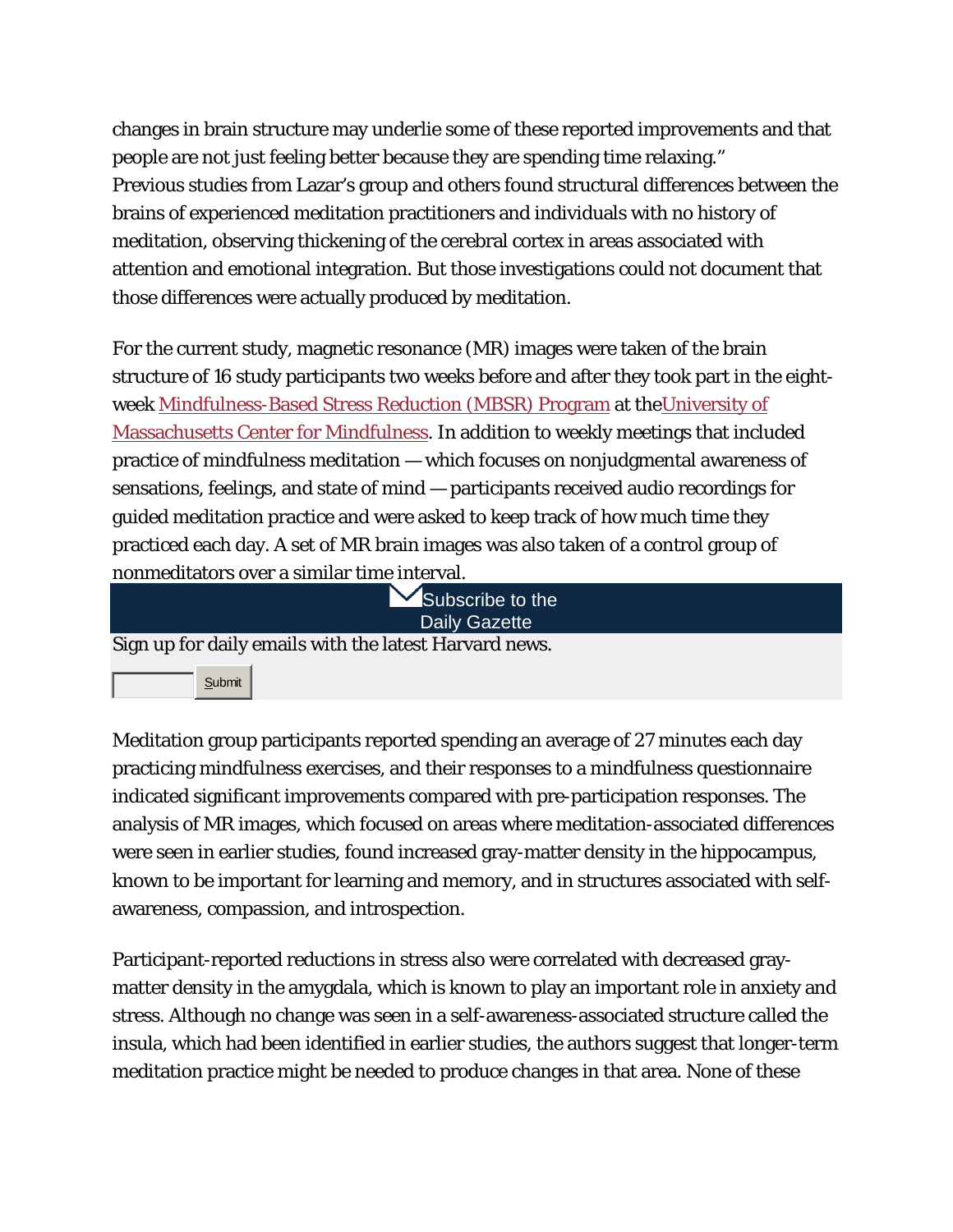changes in brain structure may underlie some of these reported improvements and that people are not just feeling better because they are spending time relaxing." Previous studies from Lazar's group and others found structural differences between the brains of experienced meditation practitioners and individuals with no history of meditation, observing thickening of the cerebral cortex in areas associated with attention and emotional integration. But those investigations could not document that those differences were actually produced by meditation.

For the current study, magnetic resonance (MR) images were taken of the brain structure of 16 study participants two weeks before and after they took part in the eightweek [Mindfulness-Based Stress Reduction \(MBSR\) Program](http://www.umassmed.edu/cfm/stress/index.aspx) at th[eUniversity of](http://www.umassmed.edu/content.aspx?id=41252)  [Massachusetts Center for Mindfulness.](http://www.umassmed.edu/content.aspx?id=41252) In addition to weekly meetings that included practice of mindfulness meditation — which focuses on nonjudgmental awareness of sensations, feelings, and state of mind — participants received audio recordings for guided meditation practice and were asked to keep track of how much time they practiced each day. A set of MR brain images was also taken of a control group of nonmeditators over a similar time interval.

| Subscribe to the                                       |
|--------------------------------------------------------|
| <b>Daily Gazette</b>                                   |
| Sign up for daily emails with the latest Harvard news. |
| Submit                                                 |

Meditation group participants reported spending an average of 27 minutes each day practicing mindfulness exercises, and their responses to a mindfulness questionnaire indicated significant improvements compared with pre-participation responses. The analysis of MR images, which focused on areas where meditation-associated differences were seen in earlier studies, found increased gray-matter density in the hippocampus, known to be important for learning and memory, and in structures associated with selfawareness, compassion, and introspection.

Participant-reported reductions in stress also were correlated with decreased graymatter density in the amygdala, which is known to play an important role in anxiety and stress. Although no change was seen in a self-awareness-associated structure called the insula, which had been identified in earlier studies, the authors suggest that longer-term meditation practice might be needed to produce changes in that area. None of these